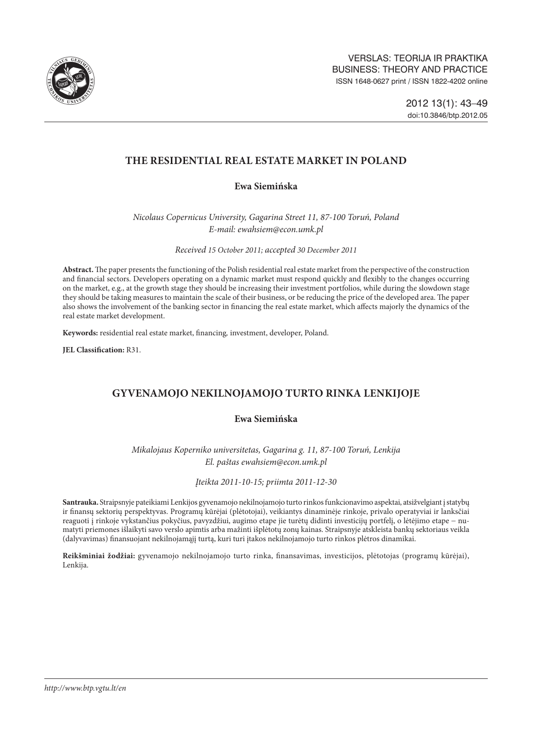

# **THE RESIDENTIAL REAL ESTATE MARKET IN POLAND**

## **Ewa Siemińska**

*Nicolaus Copernicus University, Gagarina Street 11, 87-100 Toruń, Poland E-mail: [ewahsiem@econ.umk.pl](mailto:ewahsiem@econ.umk.pl)*

*Received 15 October 2011; accepted 30 December 2011*

**Abstract.** The paper presents the functioning of the Polish residential real estate market from the perspective of the construction and financial sectors. Developers operating on a dynamic market must respond quickly and flexibly to the changes occurring on the market, e.g., at the growth stage they should be increasing their investment portfolios, while during the slowdown stage they should be taking measures to maintain the scale of their business, or be reducing the price of the developed area. The paper also shows the involvement of the banking sector in financing the real estate market, which affects majorly the dynamics of the real estate market development.

**Keywords:** residential real estate market, financing*,* investment, developer, Poland.

**JEL Classification:** R31.

# **Gyvenamojo nekilnojamojo turto rinka Lenkijoje**

## **Ewa Siemińska**

*Mikalojaus Koperniko universitetas, Gagarina g. 11, 87-100 Toruń, Lenkija El. paštas ewahsiem@econ.umk.pl*

### *Įteikta 2011-10-15; priimta 2011-12-30*

**Santrauka.** Straipsnyje pateikiami Lenkijos gyvenamojo nekilnojamojo turto rinkos funkcionavimo aspektai, atsižvelgiant į statybų ir finansų sektorių perspektyvas. Programų kūrėjai (plėtotojai), veikiantys dinaminėje rinkoje, privalo operatyviai ir lanksčiai reaguoti į rinkoje vykstančius pokyčius, pavyzdžiui, augimo etape jie turėtų didinti investicijų portfelį, o lėtėjimo etape − numatyti priemones išlaikyti savo verslo apimtis arba mažinti išplėtotų zonų kainas. Straipsnyje atskleista bankų sektoriaus veikla (dalyvavimas) finansuojant nekilnojamąjį turtą, kuri turi įtakos nekilnojamojo turto rinkos plėtros dinamikai.

**Reikšminiai žodžiai:** gyvenamojo nekilnojamojo turto rinka, finansavimas, investicijos, plėtotojas (programų kūrėjai), Lenkija.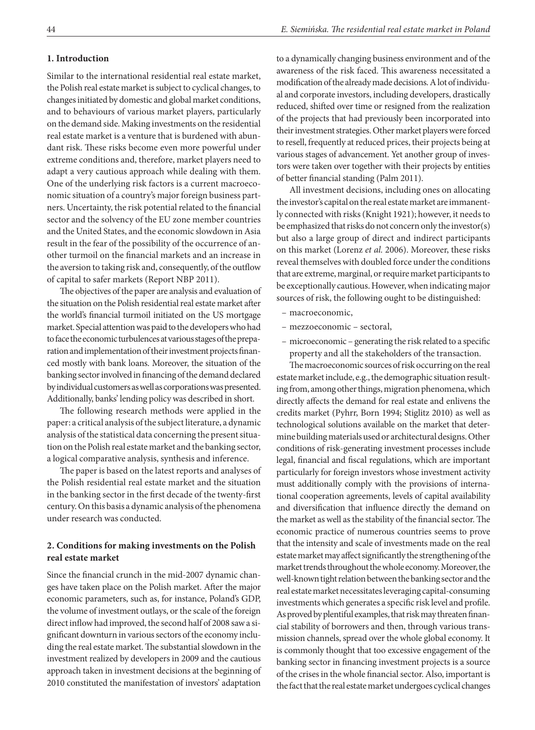#### **1. Introduction**

Similar to the international residential real estate market, the Polish real estate market is subject to cyclical changes, to changes initiated by domestic and global market conditions, and to behaviours of various market players, particularly on the demand side. Making investments on the residential real estate market is a venture that is burdened with abundant risk. These risks become even more powerful under extreme conditions and, therefore, market players need to adapt a very cautious approach while dealing with them. One of the underlying risk factors is a current macroeconomic situation of a country's major foreign business partners. Uncertainty, the risk potential related to the financial sector and the solvency of the EU zone member countries and the United States, and the economic slowdown in Asia result in the fear of the possibility of the occurrence of another turmoil on the financial markets and an increase in the aversion to taking risk and, consequently, of the outflow of capital to safer markets (Report NBP 2011).

The objectives of the paper are analysis and evaluation of the situation on the Polish residential real estate market after the world's financial turmoil initiated on the US mortgage market. Special attention was paid to the developers who had to face the economic turbulences at various stages of the preparation and implementation of their investment projects financed mostly with bank loans. Moreover, the situation of the banking sector involved in financing of the demand declared by individual customers as well as corporations was presented. Additionally, banks' lending policy was described in short.

The following research methods were applied in the paper: a critical analysis of the subject literature, a dynamic analysis of the statistical data concerning the present situation on the Polish real estate market and the banking sector, a logical comparative analysis, synthesis and inference.

The paper is based on the latest reports and analyses of the Polish residential real estate market and the situation in the banking sector in the first decade of the twenty-first century. On this basis a dynamic analysis of the phenomena under research was conducted.

## **2. Conditions for making investments on the Polish real estate market**

Since the financial crunch in the mid-2007 dynamic changes have taken place on the Polish market. After the major economic parameters, such as, for instance, Poland's GDP, the volume of investment outlays, or the scale of the foreign direct inflow had improved, the second half of 2008 saw a significant downturn in various sectors of the economy including the real estate market. The substantial slowdown in the investment realized by developers in 2009 and the cautious approach taken in investment decisions at the beginning of 2010 constituted the manifestation of investors' adaptation to a dynamically changing business environment and of the awareness of the risk faced. This awareness necessitated a modification of the already made decisions. A lot of individual and corporate investors, including developers, drastically reduced, shifted over time or resigned from the realization of the projects that had previously been incorporated into their investment strategies. Other market players were forced to resell, frequently at reduced prices, their projects being at various stages of advancement. Yet another group of investors were taken over together with their projects by entities of better financial standing (Palm 2011).

All investment decisions, including ones on allocating the investor's capital on the real estate market are immanently connected with risks (Knight 1921); however, it needs to be emphasized that risks do not concern only the investor(s) but also a large group of direct and indirect participants on this market (Lorenz *et al.* 2006). Moreover, these risks reveal themselves with doubled force under the conditions that are extreme, marginal, or require market participants to be exceptionally cautious. However, when indicating major sources of risk, the following ought to be distinguished:

- macroeconomic,
- mezzoeconomic sectoral,
- microeconomic generating the risk related to a specific property and all the stakeholders of the transaction.

The macroeconomic sources of risk occurring on the real estate market include, e.g., the demographic situation resulting from, among other things, migration phenomena, which directly affects the demand for real estate and enlivens the credits market (Pyhrr, Born 1994; Stiglitz 2010) as well as technological solutions available on the market that determine building materials used or architectural designs. Other conditions of risk-generating investment processes include legal, financial and fiscal regulations, which are important particularly for foreign investors whose investment activity must additionally comply with the provisions of international cooperation agreements, levels of capital availability and diversification that influence directly the demand on the market as well as the stability of the financial sector. The economic practice of numerous countries seems to prove that the intensity and scale of investments made on the real estate market may affect significantly the strengthening of the market trends throughout the whole economy. Moreover, the well-known tight relation between the banking sector and the real estate market necessitates leveraging capital-consuming investments which generates a specific risk level and profile. As proved by plentiful examples, that risk may threaten financial stability of borrowers and then, through various transmission channels, spread over the whole global economy. It is commonly thought that too excessive engagement of the banking sector in financing investment projects is a source of the crises in the whole financial sector. Also, important is the fact that the real estate market undergoes cyclical changes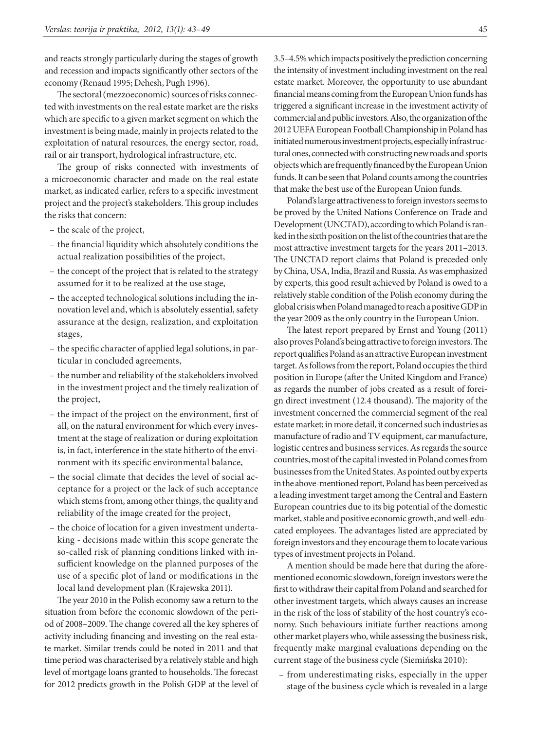and reacts strongly particularly during the stages of growth and recession and impacts significantly other sectors of the economy (Renaud 1995; Dehesh, Pugh 1996).

The sectoral (mezzoeconomic) sources of risks connected with investments on the real estate market are the risks which are specific to a given market segment on which the investment is being made, mainly in projects related to the exploitation of natural resources, the energy sector, road, rail or air transport, hydrological infrastructure, etc.

The group of risks connected with investments of a microeconomic character and made on the real estate market, as indicated earlier, refers to a specific investment project and the project's stakeholders. This group includes the risks that concern:

- the scale of the project,
- the financial liquidity which absolutely conditions the actual realization possibilities of the project,
- the concept of the project that is related to the strategy assumed for it to be realized at the use stage,
- the accepted technological solutions including the innovation level and, which is absolutely essential, safety assurance at the design, realization, and exploitation stages,
- the specific character of applied legal solutions, in particular in concluded agreements,
- the number and reliability of the stakeholders involved in the investment project and the timely realization of the project,
- the impact of the project on the environment, first of all, on the natural environment for which every investment at the stage of realization or during exploitation is, in fact, interference in the state hitherto of the environment with its specific environmental balance,
- the social climate that decides the level of social acceptance for a project or the lack of such acceptance which stems from, among other things, the quality and reliability of the image created for the project,
- the choice of location for a given investment undertaking - decisions made within this scope generate the so-called risk of planning conditions linked with insufficient knowledge on the planned purposes of the use of a specific plot of land or modifications in the local land development plan (Krajewska 2011).

The year 2010 in the Polish economy saw a return to the situation from before the economic slowdown of the period of 2008–2009. The change covered all the key spheres of activity including financing and investing on the real estate market. Similar trends could be noted in 2011 and that time period was characterised by a relatively stable and high level of mortgage loans granted to households. The forecast for 2012 predicts growth in the Polish GDP at the level of

3.5–4.5% which impacts positively the prediction concerning the intensity of investment including investment on the real estate market. Moreover, the opportunity to use abundant financial means coming from the European Union funds has triggered a significant increase in the investment activity of commercial and public investors. Also, the organization of the 2012 UEFA European Football Championship in Poland has initiated numerous investment projects, especially infrastructural ones, connected with constructing new roads and sports objects which are frequently financed by the European Union funds. It can be seen that Poland counts among the countries that make the best use of the European Union funds.

Poland's large attractiveness to foreign investors seems to be proved by the United Nations Conference on Trade and Development (UNCTAD), according to which Poland is ranked in the sixth position on the list of the countries that are the most attractive investment targets for the years 2011–2013. The UNCTAD report claims that Poland is preceded only by China, USA, India, Brazil and Russia. As was emphasized by experts, this good result achieved by Poland is owed to a relatively stable condition of the Polish economy during the global crisis when Poland managed to reach a positive GDP in the year 2009 as the only country in the European Union.

The latest report prepared by Ernst and Young (2011) also proves Poland's being attractive to foreign investors. The report qualifies Poland as an attractive European investment target. As follows from the report, Poland occupies the third position in Europe (after the United Kingdom and France) as regards the number of jobs created as a result of foreign direct investment (12.4 thousand). The majority of the investment concerned the commercial segment of the real estate market; in more detail, it concerned such industries as manufacture of radio and TV equipment, car manufacture, logistic centres and business services. As regards the source countries, most of the capital invested in Poland comes from businesses from the United States. As pointed out by experts in the above-mentioned report, Poland has been perceived as a leading investment target among the Central and Eastern European countries due to its big potential of the domestic market, stable and positive economic growth, and well-educated employees. The advantages listed are appreciated by foreign investors and they encourage them to locate various types of investment projects in Poland.

A mention should be made here that during the aforementioned economic slowdown, foreign investors were the first to withdraw their capital from Poland and searched for other investment targets, which always causes an increase in the risk of the loss of stability of the host country's economy. Such behaviours initiate further reactions among other market players who, while assessing the business risk, frequently make marginal evaluations depending on the current stage of the business cycle (Siemińska 2010):

– from underestimating risks, especially in the upper stage of the business cycle which is revealed in a large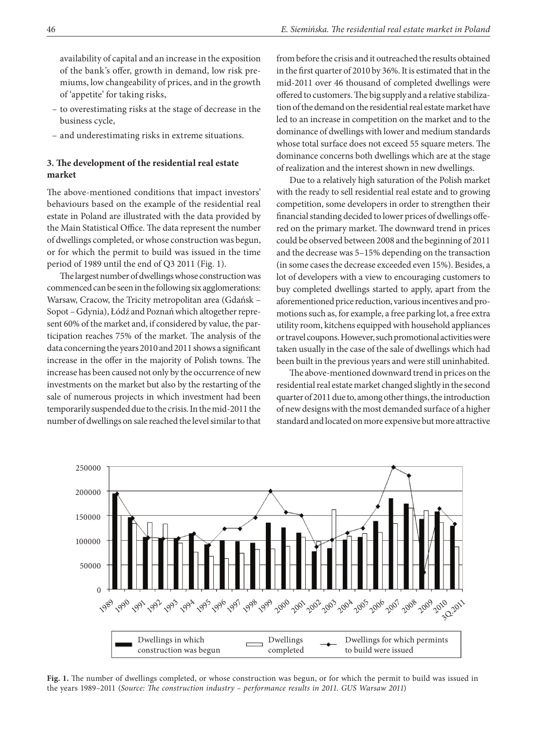availability of capital and an increase in the exposition of the bank's offer, growth in demand, low risk premiums, low changeability of prices, and in the growth of 'appetite' for taking risks,

- to overestimating risks at the stage of decrease in the business cycle,
- and underestimating risks in extreme situations.

## **3. The development of the residential real estate market**

The above-mentioned conditions that impact investors' behaviours based on the example of the residential real estate in Poland are illustrated with the data provided by the Main Statistical Office. The data represent the number of dwellings completed, or whose construction was begun, or for which the permit to build was issued in the time period of 1989 until the end of Q3 2011 (Fig. 1).

The largest number of dwellings whose construction was commenced can be seen in the following six agglomerations: Warsaw, Cracow, the Tricity metropolitan area (Gdańsk – Sopot – Gdynia), Łódź and Poznań which altogether represent 60% of the market and, if considered by value, the participation reaches 75% of the market. The analysis of the data concerning the years 2010 and 2011 shows a significant increase in the offer in the majority of Polish towns. The increase has been caused not only by the occurrence of new investments on the market but also by the restarting of the sale of numerous projects in which investment had been temporarily suspended due to the crisis. In the mid-2011 the number of dwellings on sale reached the level similar to that

from before the crisis and it outreached the results obtained in the first quarter of 2010 by 36%. It is estimated that in the mid-2011 over 46 thousand of completed dwellings were offered to customers. The big supply and a relative stabilization of the demand on the residential real estate market have led to an increase in competition on the market and to the dominance of dwellings with lower and medium standards whose total surface does not exceed 55 square meters. The dominance concerns both dwellings which are at the stage of realization and the interest shown in new dwellings.

Due to a relatively high saturation of the Polish market with the ready to sell residential real estate and to growing competition, some developers in order to strengthen their financial standing decided to lower prices of dwellings offered on the primary market. The downward trend in prices could be observed between 2008 and the beginning of 2011 and the decrease was 5–15% depending on the transaction (in some cases the decrease exceeded even 15%). Besides, a lot of developers with a view to encouraging customers to buy completed dwellings started to apply, apart from the aforementioned price reduction, various incentives and promotions such as, for example, a free parking lot, a free extra utility room, kitchens equipped with household appliances or travel coupons. However, such promotional activities were taken usually in the case of the sale of dwellings which had been built in the previous years and were still uninhabited.

The above-mentioned downward trend in prices on the residential real estate market changed slightly in the second quarter of 2011 due to, among other things, the introduction of new designs with the most demanded surface of a higher standard and located on more expensive but more attractive



**Fig. 1.** The number of dwellings completed, or whose construction was begun, or for which the permit to build was issued in the years 1989–2011 (*Source: The construction industry – performance results in 2011. GUS Warsaw 2011*)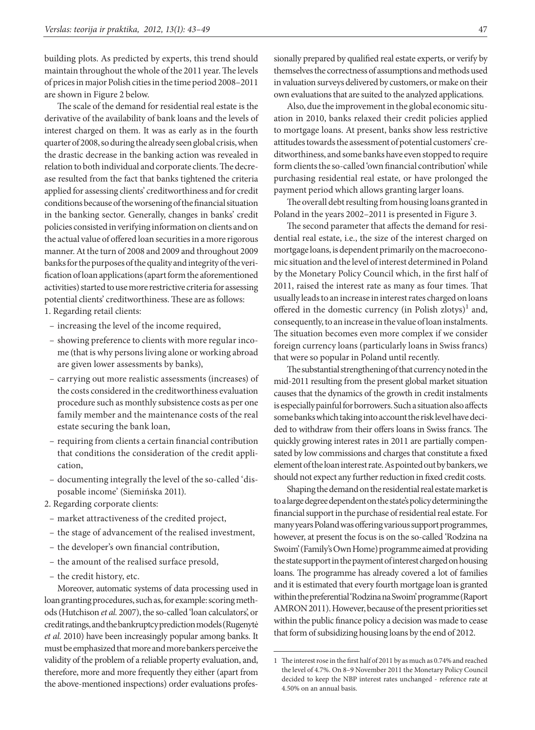building plots. As predicted by experts, this trend should maintain throughout the whole of the 2011 year. The levels of prices in major Polish cities in the time period 2008–2011 are shown in Figure 2 below.

The scale of the demand for residential real estate is the derivative of the availability of bank loans and the levels of interest charged on them. It was as early as in the fourth quarter of 2008, so during the already seen global crisis, when the drastic decrease in the banking action was revealed in relation to both individual and corporate clients. The decrease resulted from the fact that banks tightened the criteria applied for assessing clients' creditworthiness and for credit conditions because of the worsening of the financial situation in the banking sector. Generally, changes in banks' credit policies consisted in verifying information on clients and on the actual value of offered loan securities in a more rigorous manner. At the turn of 2008 and 2009 and throughout 2009 banks for the purposes of the quality and integrity of the verification of loan applications (apart form the aforementioned activities) started to use more restrictive criteria for assessing potential clients' creditworthiness. These are as follows:

1. Regarding retail clients:

- increasing the level of the income required,
- showing preference to clients with more regular income (that is why persons living alone or working abroad are given lower assessments by banks),
- carrying out more realistic assessments (increases) of the costs considered in the creditworthiness evaluation procedure such as monthly subsistence costs as per one family member and the maintenance costs of the real estate securing the bank loan,
- requiring from clients a certain financial contribution that conditions the consideration of the credit application,
- documenting integrally the level of the so-called 'disposable income' (Siemińska 2011).
- 2. Regarding corporate clients:
- market attractiveness of the credited project,
- the stage of advancement of the realised investment,
- the developer's own financial contribution,
- the amount of the realised surface presold,
- the credit history, etc.

Moreover, automatic systems of data processing used in loan granting procedures, such as, for example: scoring methods (Hutchison *et al.* 2007), the so-called 'loan calculators', or credit ratings, and the bankruptcy prediction models (Rugenytė *et al.* 2010) have been increasingly popular among banks. It must be emphasized that more and more bankers perceive the validity of the problem of a reliable property evaluation, and, therefore, more and more frequently they either (apart from the above-mentioned inspections) order evaluations professionally prepared by qualified real estate experts, or verify by themselves the correctness of assumptions and methods used in valuation surveys delivered by customers, or make on their own evaluations that are suited to the analyzed applications.

Also, due the improvement in the global economic situation in 2010, banks relaxed their credit policies applied to mortgage loans. At present, banks show less restrictive attitudes towards the assessment of potential customers' creditworthiness, and some banks have even stopped to require form clients the so-called 'own financial contribution' while purchasing residential real estate, or have prolonged the payment period which allows granting larger loans.

The overall debt resulting from housing loans granted in Poland in the years 2002–2011 is presented in Figure 3.

The second parameter that affects the demand for residential real estate, i.e., the size of the interest charged on mortgage loans, is dependent primarily on the macroeconomic situation and the level of interest determined in Poland by the Monetary Policy Council which, in the first half of 2011, raised the interest rate as many as four times. That usually leads to an increase in interest rates charged on loans offered in the domestic currency (in Polish zlotys)<sup>1</sup> and, consequently, to an increase in the value of loan instalments. The situation becomes even more complex if we consider foreign currency loans (particularly loans in Swiss francs) that were so popular in Poland until recently.

The substantial strengthening of that currency noted in the mid-2011 resulting from the present global market situation causes that the dynamics of the growth in credit instalments is especially painful for borrowers. Such a situation also affects some banks which taking into account the risk level have decided to withdraw from their offers loans in Swiss francs. The quickly growing interest rates in 2011 are partially compensated by low commissions and charges that constitute a fixed element of the loan interest rate. As pointed out by bankers, we should not expect any further reduction in fixed credit costs.

Shaping the demand on the residential real estate market is to a large degree dependent on the state's policy determining the financial support in the purchase of residential real estate. For many years Poland was offering various support programmes, however, at present the focus is on the so-called 'Rodzina na Swoim' (Family's Own Home) programme aimed at providing the state support in the payment of interest charged on housing loans. The programme has already covered a lot of families and it is estimated that every fourth mortgage loan is granted within the preferential 'Rodzina na Swoim' programme (Raport AMRON 2011). However, because of the present priorities set within the public finance policy a decision was made to cease that form of subsidizing housing loans by the end of 2012.

<sup>1</sup> The interest rose in the first half of 2011 by as much as 0.74% and reached the level of 4.7%. On 8–9 November 2011 the Monetary Policy Council decided to keep the NBP interest rates unchanged - reference rate at 4.50% on an annual basis.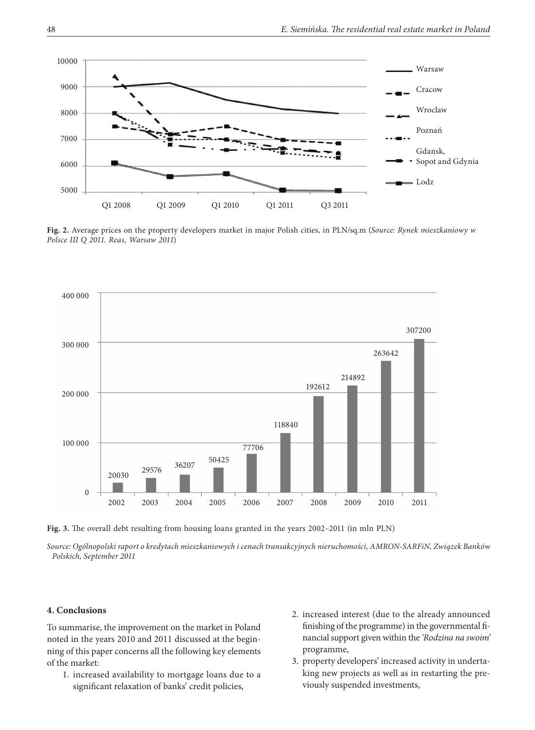

**Fig. 2.** Average prices on the property developers market in major Polish cities, in PLN/sq.m (*Source: Rynek mieszkaniowy w Polsce III Q 2011. Reas, Warsaw 2011*)



**Fig. 3.** The overall debt resulting from housing loans granted in the years 2002–2011 (in mln PLN)

*Source: Ogólnopolski raport o kredytach mieszkaniowych i cenach transakcyjnych nieruchomości, AMRON-SARFiN, Związek Banków Polskich, September 2011*

### **4. Conclusions**

To summarise, the improvement on the market in Poland noted in the years 2010 and 2011 discussed at the beginning of this paper concerns all the following key elements of the market:

- 1. increased availability to mortgage loans due to a significant relaxation of banks' credit policies,
- 2. increased interest (due to the already announced finishing of the programme) in the governmental financial support given within the *'Rodzina na swoim'* programme,
- 3. property developers' increased activity in undertaking new projects as well as in restarting the previously suspended investments,